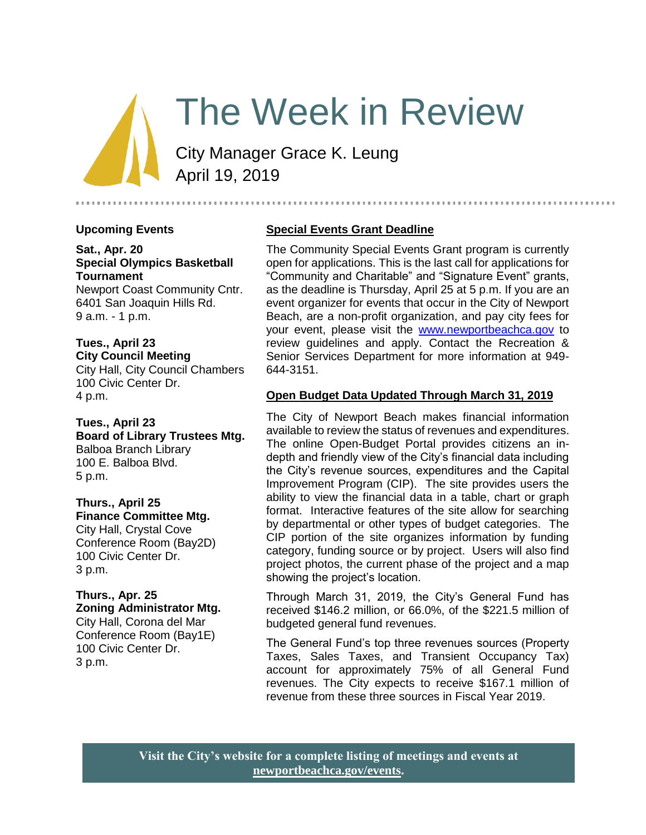# The Week in Review

City Manager Grace K. Leung April 19, 2019

## **Upcoming Events**

**Sat., Apr. 20 Special Olympics Basketball Tournament** Newport Coast Community Cntr. 6401 San Joaquin Hills Rd.

9 a.m. - 1 p.m.

**Tues., April 23 City Council Meeting** City Hall, City Council Chambers 100 Civic Center Dr. 4 p.m.

**Tues., April 23 Board of Library Trustees Mtg.** Balboa Branch Library 100 E. Balboa Blvd. 5 p.m.

**Thurs., April 25 Finance Committee Mtg.** City Hall, Crystal Cove Conference Room (Bay2D) 100 Civic Center Dr. 3 p.m.

**Thurs., Apr. 25 Zoning Administrator Mtg.** City Hall, Corona del Mar Conference Room (Bay1E) 100 Civic Center Dr. 3 p.m.

## **Special Events Grant Deadline**

The Community Special Events Grant program is currently open for applications. This is the last call for applications for "Community and Charitable" and "Signature Event" grants, as the deadline is Thursday, April 25 at 5 p.m. If you are an event organizer for events that occur in the City of Newport Beach, are a non-profit organization, and pay city fees for your event, please visit the [www.newportbeachca.gov](http://www.newportbeachca.gov/) to review guidelines and apply. Contact the Recreation & Senior Services Department for more information at 949- 644-3151.

## **Open Budget Data Updated Through March 31, 2019**

The City of Newport Beach makes financial information available to review the status of revenues and expenditures. The online Open-Budget Portal provides citizens an indepth and friendly view of the City's financial data including the City's revenue sources, expenditures and the Capital Improvement Program (CIP). The site provides users the ability to view the financial data in a table, chart or graph format. Interactive features of the site allow for searching by departmental or other types of budget categories. The CIP portion of the site organizes information by funding category, funding source or by project. Users will also find project photos, the current phase of the project and a map showing the project's location.

Through March 31, 2019, the City's General Fund has received \$146.2 million, or 66.0%, of the \$221.5 million of budgeted general fund revenues.

The General Fund's top three revenues sources (Property Taxes, Sales Taxes, and Transient Occupancy Tax) account for approximately 75% of all General Fund revenues. The City expects to receive \$167.1 million of revenue from these three sources in Fiscal Year 2019.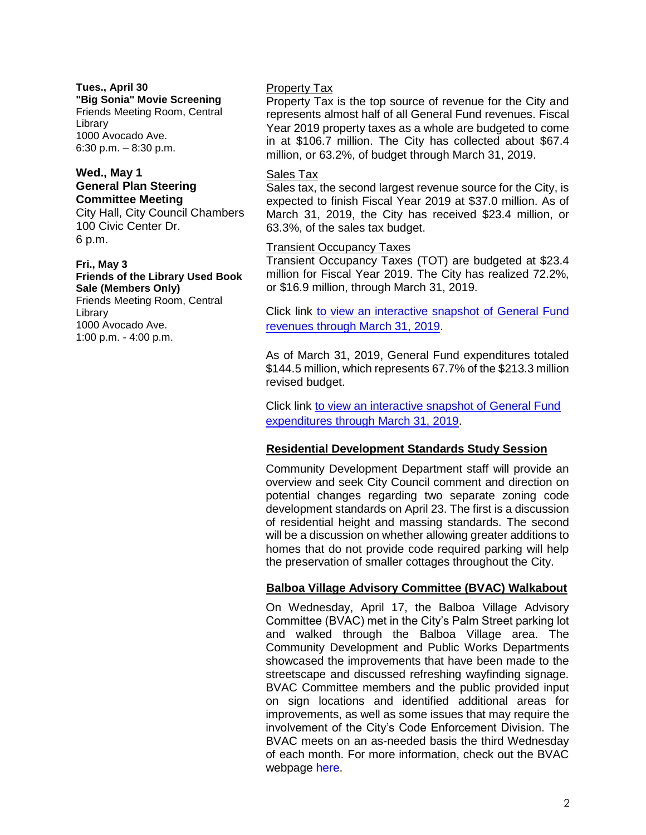**Tues., April 30 "Big Sonia" Movie Screening** Friends Meeting Room, Central Library 1000 Avocado Ave. 6:30 p.m. – 8:30 p.m.

### **Wed., May 1 General Plan Steering Committee Meeting**

City Hall, City Council Chambers 100 Civic Center Dr. 6 p.m.

#### **Fri., May 3 Friends of the Library Used Book Sale (Members Only)**

Friends Meeting Room, Central Library 1000 Avocado Ave. 1:00 p.m. - 4:00 p.m.

## Property Tax

Property Tax is the top source of revenue for the City and represents almost half of all General Fund revenues. Fiscal Year 2019 property taxes as a whole are budgeted to come in at \$106.7 million. The City has collected about \$67.4 million, or 63.2%, of budget through March 31, 2019.

## Sales Tax

Sales tax, the second largest revenue source for the City, is expected to finish Fiscal Year 2019 at \$37.0 million. As of March 31, 2019, the City has received \$23.4 million, or 63.3%, of the sales tax budget.

### Transient Occupancy Taxes

Transient Occupancy Taxes (TOT) are budgeted at \$23.4 million for Fiscal Year 2019. The City has realized 72.2%, or \$16.9 million, through March 31, 2019.

Click link [to view an interactive snapshot of General Fund](https://newportbeachca.budget.socrata.com/#!/year/2019/revenue/0/fund/GENERAL+FUND/0/class)  [revenues through March 31, 2019.](https://newportbeachca.budget.socrata.com/#!/year/2019/revenue/0/fund/GENERAL+FUND/0/class)

As of March 31, 2019, General Fund expenditures totaled \$144.5 million, which represents 67.7% of the \$213.3 million revised budget.

Click link to view an interactive snapshot of General Fund [expenditures through March 31, 2019.](https://newportbeachca.budget.socrata.com/#!/year/2019/operating/0/fund/GENERAL+FUND/0/department)

## **Residential Development Standards Study Session**

Community Development Department staff will provide an overview and seek City Council comment and direction on potential changes regarding two separate zoning code development standards on April 23. The first is a discussion of residential height and massing standards. The second will be a discussion on whether allowing greater additions to homes that do not provide code required parking will help the preservation of smaller cottages throughout the City.

## **Balboa Village Advisory Committee (BVAC) Walkabout**

On Wednesday, April 17, the Balboa Village Advisory Committee (BVAC) met in the City's Palm Street parking lot and walked through the Balboa Village area. The Community Development and Public Works Departments showcased the improvements that have been made to the streetscape and discussed refreshing wayfinding signage. BVAC Committee members and the public provided input on sign locations and identified additional areas for improvements, as well as some issues that may require the involvement of the City's Code Enforcement Division. The BVAC meets on an as-needed basis the third Wednesday of each month. For more information, check out the BVAC webpage [here.](https://www.newportbeachca.gov/government/open-government/agendas-minutes/balboa-village-advisory-committee-agenda-bvac)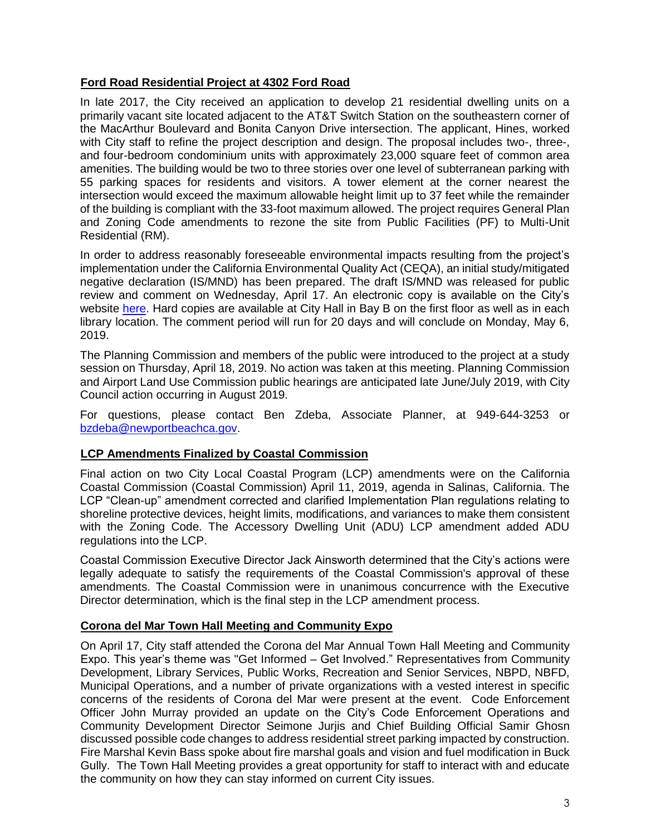## **Ford Road Residential Project at 4302 Ford Road**

In late 2017, the City received an application to develop 21 residential dwelling units on a primarily vacant site located adjacent to the AT&T Switch Station on the southeastern corner of the MacArthur Boulevard and Bonita Canyon Drive intersection. The applicant, Hines, worked with City staff to refine the project description and design. The proposal includes two-, three-, and four-bedroom condominium units with approximately 23,000 square feet of common area amenities. The building would be two to three stories over one level of subterranean parking with 55 parking spaces for residents and visitors. A tower element at the corner nearest the intersection would exceed the maximum allowable height limit up to 37 feet while the remainder of the building is compliant with the 33-foot maximum allowed. The project requires General Plan and Zoning Code amendments to rezone the site from Public Facilities (PF) to Multi-Unit Residential (RM).

In order to address reasonably foreseeable environmental impacts resulting from the project's implementation under the California Environmental Quality Act (CEQA), an initial study/mitigated negative declaration (IS/MND) has been prepared. The draft IS/MND was released for public review and comment on Wednesday, April 17. An electronic copy is available on the City's website [here.](https://www.newportbeachca.gov/pln/CEQA_DOCS.asp?path=/Ford%20Road%20Residential%20(PA2017-228)) Hard copies are available at City Hall in Bay B on the first floor as well as in each library location. The comment period will run for 20 days and will conclude on Monday, May 6, 2019.

The Planning Commission and members of the public were introduced to the project at a study session on Thursday, April 18, 2019. No action was taken at this meeting. Planning Commission and Airport Land Use Commission public hearings are anticipated late June/July 2019, with City Council action occurring in August 2019.

For questions, please contact Ben Zdeba, Associate Planner, at 949-644-3253 or [bzdeba@newportbeachca.gov.](file:///C:/Users/sjurjis/AppData/Local/Microsoft/Windows/INetCache/Content.Outlook/91L0U9UJ/bzdeba@newportbeachca.gov)

## **LCP Amendments Finalized by Coastal Commission**

Final action on two City Local Coastal Program (LCP) amendments were on the California Coastal Commission (Coastal Commission) April 11, 2019, agenda in Salinas, California. The LCP "Clean-up" amendment corrected and clarified Implementation Plan regulations relating to shoreline protective devices, height limits, modifications, and variances to make them consistent with the Zoning Code. The Accessory Dwelling Unit (ADU) LCP amendment added ADU regulations into the LCP.

Coastal Commission Executive Director Jack Ainsworth determined that the City's actions were legally adequate to satisfy the requirements of the Coastal Commission's approval of these amendments. The Coastal Commission were in unanimous concurrence with the Executive Director determination, which is the final step in the LCP amendment process.

## **Corona del Mar Town Hall Meeting and Community Expo**

On April 17, City staff attended the Corona del Mar Annual Town Hall Meeting and Community Expo. This year's theme was "Get Informed – Get Involved." Representatives from Community Development, Library Services, Public Works, Recreation and Senior Services, NBPD, NBFD, Municipal Operations, and a number of private organizations with a vested interest in specific concerns of the residents of Corona del Mar were present at the event. Code Enforcement Officer John Murray provided an update on the City's Code Enforcement Operations and Community Development Director Seimone Jurjis and Chief Building Official Samir Ghosn discussed possible code changes to address residential street parking impacted by construction. Fire Marshal Kevin Bass spoke about fire marshal goals and vision and fuel modification in Buck Gully. The Town Hall Meeting provides a great opportunity for staff to interact with and educate the community on how they can stay informed on current City issues.